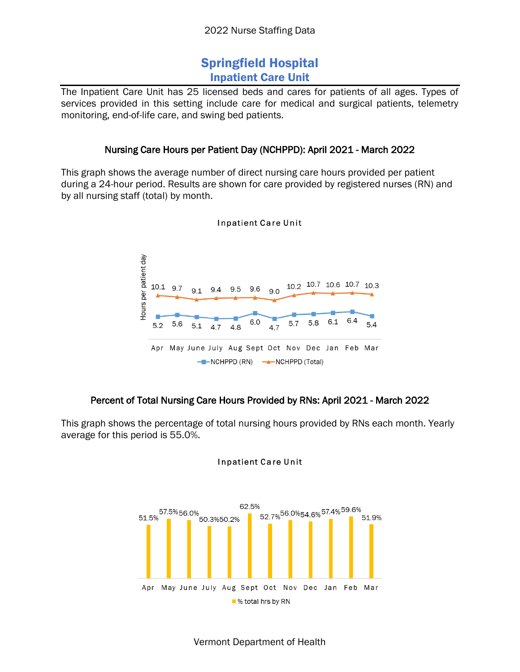# Springfield Hospital Inpatient Care Unit

The Inpatient Care Unit has 25 licensed beds and cares for patients of all ages. Types of services provided in this setting include care for medical and surgical patients, telemetry monitoring, end-of-life care, and swing bed patients.

#### Nursing Care Hours per Patient Day (NCHPPD): April 2021 - March 2022

This graph shows the average number of direct nursing care hours provided per patient during a 24-hour period. Results are shown for care provided by registered nurses (RN) and by all nursing staff (total) by month.



#### **Inpatient Care Unit**

### Percent of Total Nursing Care Hours Provided by RNs: April 2021 - March 2022

This graph shows the percentage of total nursing hours provided by RNs each month. Yearly average for this period is 55.0%.



#### **Inpatient Care Unit**

Vermont Department of Health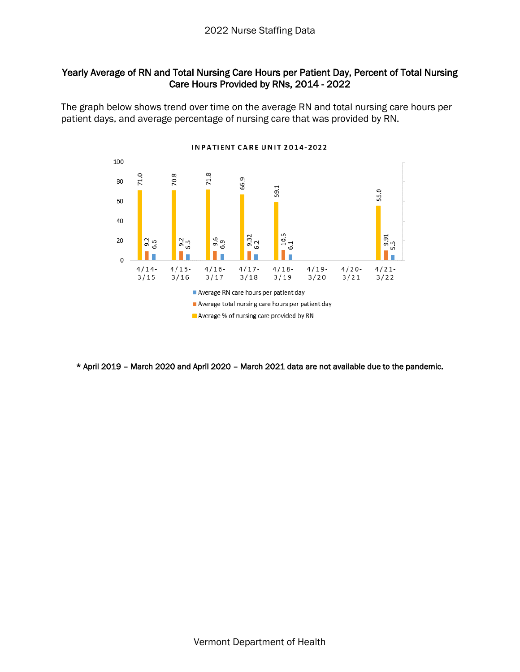#### Yearly Average of RN and Total Nursing Care Hours per Patient Day, Percent of Total Nursing Care Hours Provided by RNs, 2014 - 2022

The graph below shows trend over time on the average RN and total nursing care hours per patient days, and average percentage of nursing care that was provided by RN.



\* April 2019 – March 2020 and April 2020 – March 2021 data are not available due to the pandemic.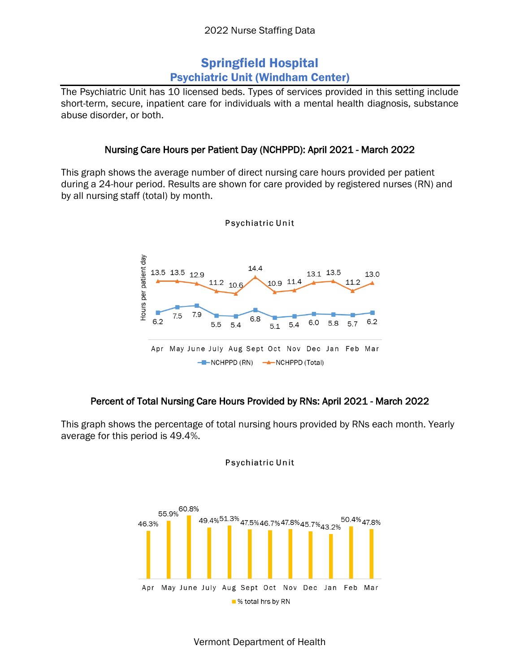# Springfield Hospital Psychiatric Unit (Windham Center)

The Psychiatric Unit has 10 licensed beds. Types of services provided in this setting include short-term, secure, inpatient care for individuals with a mental health diagnosis, substance abuse disorder, or both.

### Nursing Care Hours per Patient Day (NCHPPD): April 2021 - March 2022

This graph shows the average number of direct nursing care hours provided per patient during a 24-hour period. Results are shown for care provided by registered nurses (RN) and by all nursing staff (total) by month.



Psychiatric Unit

## Percent of Total Nursing Care Hours Provided by RNs: April 2021 - March 2022

This graph shows the percentage of total nursing hours provided by RNs each month. Yearly average for this period is 49.4%.



Psychiatric Unit

Vermont Department of Health